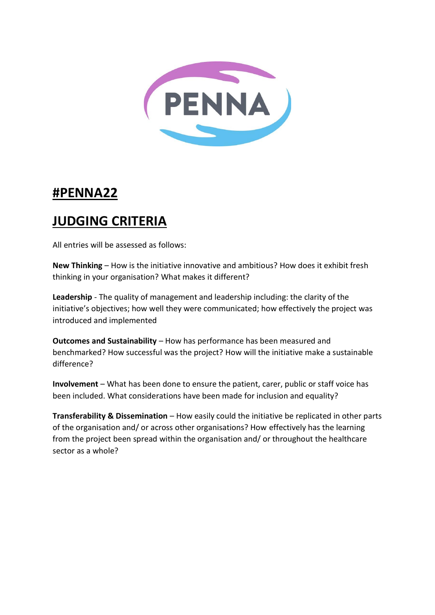

## **#PENNA22**

## **JUDGING CRITERIA**

All entries will be assessed as follows:

**New Thinking** – How is the initiative innovative and ambitious? How does it exhibit fresh thinking in your organisation? What makes it different?

**Leadership** - The quality of management and leadership including: the clarity of the initiative's objectives; how well they were communicated; how effectively the project was introduced and implemented

**Outcomes and Sustainability** – How has performance has been measured and benchmarked? How successful was the project? How will the initiative make a sustainable difference?

**Involvement** – What has been done to ensure the patient, carer, public or staff voice has been included. What considerations have been made for inclusion and equality?

**Transferability & Dissemination** – How easily could the initiative be replicated in other parts of the organisation and/ or across other organisations? How effectively has the learning from the project been spread within the organisation and/ or throughout the healthcare sector as a whole?